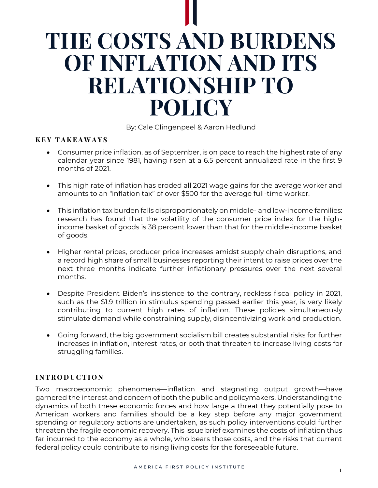# **THE COSTS AND BURDENS OF INFLATION AND ITS RELATIONSHIP TO POLICY**

By: Cale Clingenpeel & Aaron Hedlund

### **K E Y T A K E A W A Y S**

- Consumer price inflation, as of September, is on pace to reach the highest rate of any calendar year since 1981, having risen at a 6.5 percent annualized rate in the first 9 months of 2021.
- This high rate of inflation has eroded all 2021 wage gains for the average worker and amounts to an "inflation tax" of over \$500 for the average full-time worker.
- This inflation tax burden falls disproportionately on middle- and low-income families: research has found that the volatility of the consumer price index for the highincome basket of goods is 38 percent lower than that for the middle-income basket of goods.
- Higher rental prices, producer price increases amidst supply chain disruptions, and a record high share of small businesses reporting their intent to raise prices over the next three months indicate further inflationary pressures over the next several months.
- Despite President Biden's insistence to the contrary, reckless fiscal policy in 2021, such as the \$1.9 trillion in stimulus spending passed earlier this year, is very likely contributing to current high rates of inflation. These policies simultaneously stimulate demand while constraining supply, disincentivizing work and production.
- Going forward, the big government socialism bill creates substantial risks for further increases in inflation, interest rates, or both that threaten to increase living costs for struggling families.

## **I N T R O D U C T I O N**

Two macroeconomic phenomena—inflation and stagnating output growth—have garnered the interest and concern of both the public and policymakers. Understanding the dynamics of both these economic forces and how large a threat they potentially pose to American workers and families should be a key step before any major government spending or regulatory actions are undertaken, as such policy interventions could further threaten the fragile economic recovery. This issue brief examines the costs of inflation thus far incurred to the economy as a whole, who bears those costs, and the risks that current federal policy could contribute to rising living costs for the foreseeable future.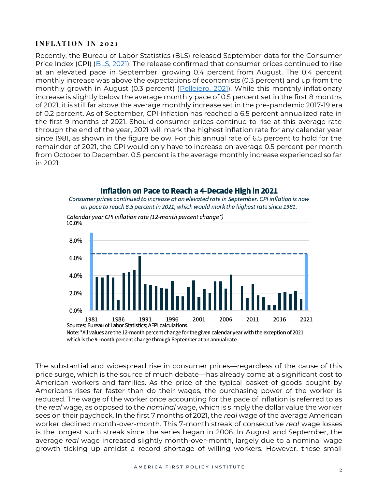#### **INFLATION IN 2021**

Recently, the Bureau of Labor Statistics (BLS) released September data for the Consumer Price Index (CPI) [\(BLS, 2021\)](https://www.bls.gov/news.release/cpi.htm). The release confirmed that consumer prices continued to rise at an elevated pace in September, growing 0.4 percent from August. The 0.4 percent monthly increase was above the expectations of economists (0.3 percent) and up from the monthly growth in August (0.3 percent) [\(Pellejero, 2021\)](https://www.wsj.com/articles/inflation-data-pushes-treasury-yields-closer-together-11634145416?st=x5q80421lk4xoh4&reflink=e2twmkts). While this monthly inflationary increase is slightly below the average monthly pace of 0.5 percent set in the first 8 months of 2021, it is still far above the average monthly increase set in the pre-pandemic 2017-19 era of 0.2 percent. As of September, CPI inflation has reached a 6.5 percent annualized rate in the first 9 months of 2021. Should consumer prices continue to rise at this average rate through the end of the year, 2021 will mark the highest inflation rate for any calendar year since 1981, as shown in the figure below. For this annual rate of 6.5 percent to hold for the remainder of 2021, the CPI would only have to increase on average 0.5 percent per month from October to December. 0.5 percent is the average monthly increase experienced so far in 2021.



#### Inflation on Pace to Reach a 4-Decade High in 2021

Note: \*All values are the 12-month percent change for the given calendar year with the exception of 2021 which is the 9-month percent change through September at an annual rate.

The substantial and widespread rise in consumer prices—regardless of the cause of this price surge, which is the source of much debate—has already come at a significant cost to American workers and families. As the price of the typical basket of goods bought by Americans rises far faster than do their wages, the purchasing power of the worker is reduced. The wage of the worker once accounting for the pace of inflation is referred to as the *real* wage, as opposed to the *nominal* wage, which is simply the dollar value the worker sees on their paycheck. In the first 7 months of 2021, the *real* wage of the average American worker declined month-over-month. This 7-month streak of consecutive *real* wage losses is the longest such streak since the series began in 2006. In August and September, the average *real* wage increased slightly month-over-month, largely due to a nominal wage growth ticking up amidst a record shortage of willing workers. However, these small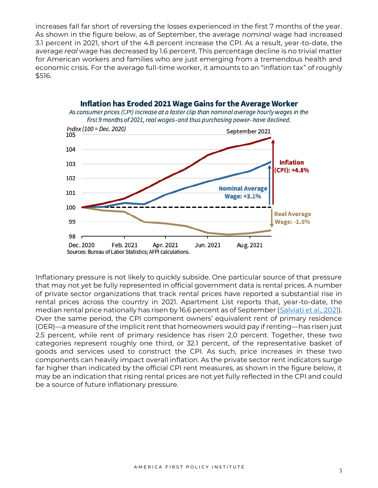increases fall far short of reversing the losses experienced in the first 7 months of the year. As shown in the figure below, as of September, the average *nominal* wage had increased 3.1 percent in 2021, short of the 4.8 percent increase the CPI. As a result, year-to-date, the average *real* wage has decreased by 1.6 percent. This percentage decline is no trivial matter for American workers and families who are just emerging from a tremendous health and economic crisis. For the average full-time worker, it amounts to an "inflation tax" of roughly \$516.



**Inflation has Eroded 2021 Wage Gains for the Average Worker** 

Inflationary pressure is not likely to quickly subside. One particular source of that pressure that may not yet be fully represented in official government data is rental prices. A number of private sector organizations that track rental prices have reported a substantial rise in rental prices across the country in 2021. Apartment List reports that, year-to-date, the median rental price nationally has risen by 16.6 percent as of September [\(Salviati et al., 2021\)](https://www.apartmentlist.com/research/national-rent-data). Over the same period, the CPI component owners' equivalent rent of primary residence (OER)—a measure of the implicit rent that homeowners would pay if renting—has risen just 2.5 percent, while rent of primary residence has risen 2.0 percent. Together, these two categories represent roughly one third, or 32.1 percent, of the representative basket of goods and services used to construct the CPI. As such, price increases in these two components can heavily impact overall inflation. As the private sector rent indicators surge far higher than indicated by the official CPI rent measures, as shown in the figure below, it may be an indication that rising rental prices are not yet fully reflected in the CPI and could be a source of future inflationary pressure.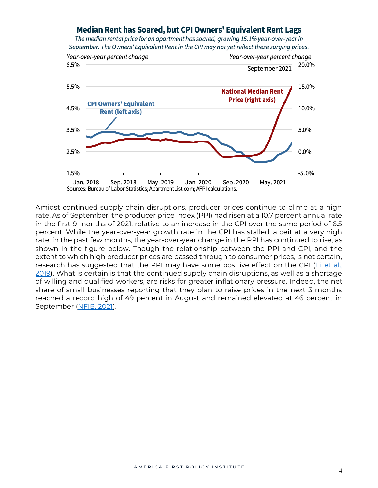## Median Rent has Soared, but CPI Owners' Equivalent Rent Lags

The median rental price for an apartment has soared, growing 15.1% year-over-year in September. The Owners' Equivalent Rent in the CPI may not yet reflect these surging prices.



Amidst continued supply chain disruptions, producer prices continue to climb at a high rate. As of September, the producer price index (PPI) had risen at a 10.7 percent annual rate in the first 9 months of 2021, relative to an increase in the CPI over the same period of 6.5 percent. While the year-over-year growth rate in the CPI has stalled, albeit at a very high rate, in the past few months, the year-over-year change in the PPI has continued to rise, as shown in the figure below. Though the relationship between the PPI and CPI, and the extent to which high producer prices are passed through to consumer prices, is not certain, research has suggested that the PPI may have some positive effect on the CPI (Li et al., [2019\)](https://file.scirp.org/pdf/OJS_2019041116261924.pdf). What is certain is that the continued supply chain disruptions, as well as a shortage of willing and qualified workers, are risks for greater inflationary pressure. Indeed, the net share of small businesses reporting that they plan to raise prices in the next 3 months reached a record high of 49 percent in August and remained elevated at 46 percent in September [\(NFIB, 2021\)](https://assets.nfib.com/nfibcom/SBET-Sept-2021.pdf).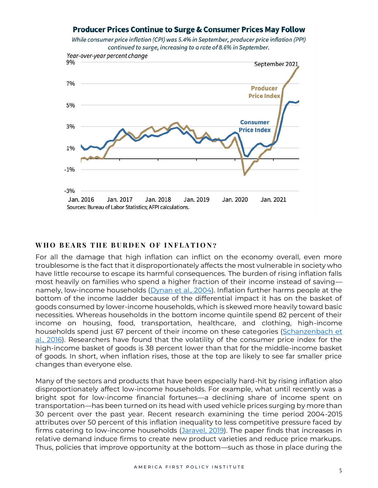## **Producer Prices Continue to Surge & Consumer Prices May Follow**

While consumer price inflation (CPI) was 5.4% in September, producer price inflation (PPI) continued to surge, increasing to a rate of 8.6% in September.



#### WHO BEARS THE BURDEN OF INFLATION?

For all the damage that high inflation can inflict on the economy overall, even more troublesome is the fact that it disproportionately affects the most vulnerable in society who have little recourse to escape its harmful consequences. The burden of rising inflation falls most heavily on families who spend a higher fraction of their income instead of saving— namely, low-income households [\(Dynan et al., 2004\)](https://www.journals.uchicago.edu/doi/full/10.1086/381475?journalCode=jpe&mobileUi=0). Inflation further harms people at the bottom of the income ladder because of the differential impact it has on the basket of goods consumed by lower-income households, which is skewed more heavily toward basic necessities. Whereas households in the bottom income quintile spend 82 percent of their income on housing, food, transportation, healthcare, and clothing, high-income households spend just 67 percent of their income on these categories (Schanzenbach et [al., 2016\)](https://www.brookings.edu/wp-content/uploads/2016/08/where_does_all_the_money_go.pdf). Researchers have found that the volatility of the consumer price index for the high-income basket of goods is 38 percent lower than that for the middle-income basket of goods. In short, when inflation rises, those at the top are likely to see far smaller price changes than everyone else.

Many of the sectors and products that have been especially hard-hit by rising inflation also disproportionately affect low-income households. For example, what until recently was a bright spot for low-income financial fortunes—a declining share of income spent on transportation—has been turned on its head with used vehicle prices surging by more than 30 percent over the past year. Recent research examining the time period 2004-2015 attributes over 50 percent of this inflation inequality to less competitive pressure faced by firms catering to low-income households [\(Jaravel, 2019\)](https://academic.oup.com/qje/article/134/2/715/5230867). The paper finds that increases in relative demand induce firms to create new product varieties and reduce price markups. Thus, policies that improve opportunity at the bottom—such as those in place during the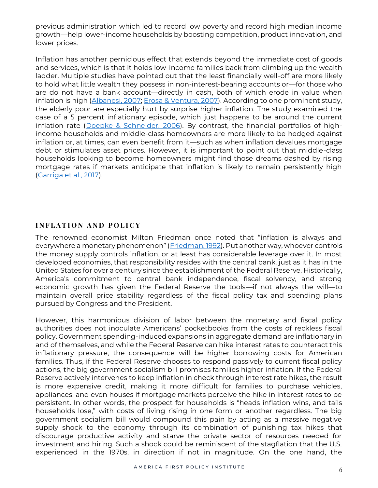previous administration which led to record low poverty and record high median income growth—help lower-income households by boosting competition, product innovation, and lower prices.

Inflation has another pernicious effect that extends beyond the immediate cost of goods and services, which is that it holds low-income families back from climbing up the wealth ladder. Multiple studies have pointed out that the least financially well-off are more likely to hold what little wealth they possess in non-interest-bearing accounts or—for those who are do not have a bank account—directly in cash, both of which erode in value when inflation is high [\(Albanesi, 2007;](https://www.sciencedirect.com/science/article/pii/S0304393206002121) [Erosa & Ventura, 2007\)](https://www.sciencedirect.com/science/article/pii/S0304393202001150). According to one prominent study, the elderly poor are especially hurt by surprise higher inflation. The study examined the case of a 5 percent inflationary episode, which just happens to be around the current inflation rate [\(Doepke & Schneider, 2006\)](https://www.journals.uchicago.edu/doi/full/10.1086/508379). By contrast, the financial portfolios of highincome households and middle-class homeowners are more likely to be hedged against inflation or, at times, can even benefit from it—such as when inflation devalues mortgage debt or stimulates asset prices. However, it is important to point out that middle-class households looking to become homeowners might find those dreams dashed by rising mortgage rates if markets anticipate that inflation is likely to remain persistently high [\(Garriga et al., 2017\)](https://academic.oup.com/rfs/article/30/10/3337/3857753).

## **I N F L A T I O N A N D P O L I C Y**

The renowned economist Milton Friedman once noted that "inflation is always and everywhere a monetary phenomenon" ([Friedman, 1992\)](https://miltonfriedman.hoover.org/objects/57555/money-mischief-episodes-in-monetary-history). Put another way, whoever controls the money supply controls inflation, or at least has considerable leverage over it. In most developed economies, that responsibility resides with the central bank, just as it has in the United States for over a century since the establishment of the Federal Reserve. Historically, America's commitment to central bank independence, fiscal solvency, and strong economic growth has given the Federal Reserve the tools—if not always the will—to maintain overall price stability regardless of the fiscal policy tax and spending plans pursued by Congress and the President.

However, this harmonious division of labor between the monetary and fiscal policy authorities does not inoculate Americans' pocketbooks from the costs of reckless fiscal policy. Government spending-induced expansions in aggregate demand are inflationary in and of themselves, and while the Federal Reserve can hike interest rates to counteract this inflationary pressure, the consequence will be higher borrowing costs for American families. Thus, if the Federal Reserve chooses to respond passively to current fiscal policy actions, the big government socialism bill promises families higher inflation. If the Federal Reserve actively intervenes to keep inflation in check through interest rate hikes, the result is more expensive credit, making it more difficult for families to purchase vehicles, appliances, and even houses if mortgage markets perceive the hike in interest rates to be persistent. In other words, the prospect for households is "heads inflation wins, and tails households lose," with costs of living rising in one form or another regardless. The big government socialism bill would compound this pain by acting as a massive negative supply shock to the economy through its combination of punishing tax hikes that discourage productive activity and starve the private sector of resources needed for investment and hiring. Such a shock could be reminiscent of the stagflation that the U.S. experienced in the 1970s, in direction if not in magnitude. On the one hand, the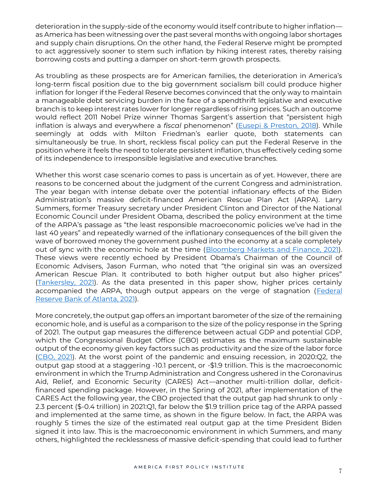deterioration in the supply-side of the economy would itself contribute to higher inflation as America has been witnessing over the past several months with ongoing labor shortages and supply chain disruptions. On the other hand, the Federal Reserve might be prompted to act aggressively sooner to stem such inflation by hiking interest rates, thereby raising borrowing costs and putting a damper on short-term growth prospects.

As troubling as these prospects are for American families, the deterioration in America's long-term fiscal position due to the big government socialism bill could produce higher inflation for longer if the Federal Reserve becomes convinced that the only way to maintain a manageable debt servicing burden in the face of a spendthrift legislative and executive branch is to keep interest rates lower for longer regardless of rising prices. Such an outcome would reflect 2011 Nobel Prize winner Thomas Sargent's assertion that "persistent high inflation is always and everywhere a *fiscal* phenomenon" ([Eusepi & Preston, 2018\)](https://minerva-access.unimelb.edu.au/bitstream/handle/11343/219993/Fiscal+Foundations+of+Inflation+Imperfect+Knowledge.pdf?sequence=1). While seemingly at odds with Milton Friedman's earlier quote, both statements can simultaneously be true. In short, reckless fiscal policy can put the Federal Reserve in the position where it feels the need to tolerate persistent inflation, thus effectively ceding some of its independence to irresponsible legislative and executive branches.

Whether this worst case scenario comes to pass is uncertain as of yet. However, there are reasons to be concerned about the judgment of the current Congress and administration. The year began with intense debate over the potential inflationary effects of the Biden Administration's massive deficit-financed American Rescue Plan Act (ARPA). Larry Summers, former Treasury secretary under President Clinton and Director of the National Economic Council under President Obama, described the policy environment at the time of the ARPA's passage as "the least responsible macroeconomic policies we've had in the last 40 years" and repeatedly warned of the inflationary consequences of the bill given the wave of borrowed money the government pushed into the economy at a scale completely out of sync with the economic hole at the time [\(Bloomberg Markets and Finance, 2021\)](https://www.youtube.com/watch?v=PBnaahSe7JU&t=4s). These views were recently echoed by President Obama's Chairman of the Council of Economic Advisers, Jason Furman, who noted that "the original sin was an oversized American Rescue Plan. It contributed to both higher output but also higher prices" [\(Tankersley, 2021\)](https://www.nytimes.com/2021/10/26/business/economy/biden-inflation.html?referringSource=articleShare). As the data presented in this paper show, higher prices certainly accompanied the ARPA, though output appears on the verge of stagnation (Federal [Reserve Bank of Atlanta, 2021\)](https://www.atlantafed.org/cqer/research/gdpnow).

More concretely, the output gap offers an important barometer of the size of the remaining economic hole, and is useful as a comparison to the size of the policy response in the Spring of 2021. The output gap measures the difference between actual GDP and potential GDP, which the Congressional Budget Office (CBO) estimates as the maximum sustainable output of the economy given key factors such as productivity and the size of the labor force [\(CBO, 2021\)](https://www.cbo.gov/system/files/2021-02/56970-Outlook.pdf). At the worst point of the pandemic and ensuing recession, in 2020:Q2, the output gap stood at a staggering -10.1 percent, or -\$1.9 trillion. This is the macroeconomic environment in which the Trump Administration and Congress ushered in the Coronavirus Aid, Relief, and Economic Security (CARES) Act—another multi-trillion dollar, deficitfinanced spending package. However, in the Spring of 2021, after implementation of the CARES Act the following year, the CBO projected that the output gap had shrunk to only - 2.3 percent (\$-0.4 trillion) in 2021:Q1, far below the \$1.9 trillion price tag of the ARPA passed and implemented at the same time, as shown in the figure below. In fact, the ARPA was roughly 5 times the size of the estimated real output gap at the time President Biden signed it into law. This is the macroeconomic environment in which Summers, and many others, highlighted the recklessness of massive deficit-spending that could lead to further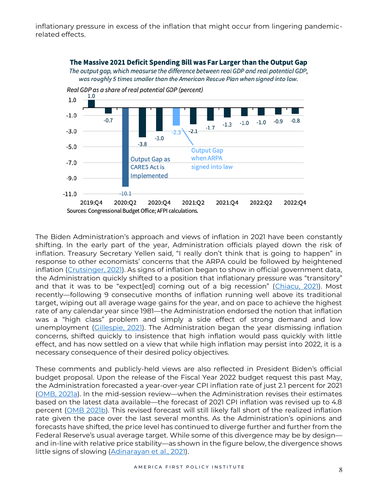inflationary pressure in excess of the inflation that might occur from lingering pandemicrelated effects.



The Biden Administration's approach and views of inflation in 2021 have been constantly shifting. In the early part of the year, Administration officials played down the risk of inflation. Treasury Secretary Yellen said, "I really don't think that is going to happen" in response to other economists' concerns that the ARPA could be followed by heightened inflation [\(Crutsinger, 2021\)](https://news.yahoo.com/yellen-plays-down-inflation-fears-152548256.html). As signs of inflation began to show in official government data, the Administration quickly shifted to a position that inflationary pressure was "transitory" and that it was to be "expect[ed] coming out of a big recession" ([Chiacu, 2021\)](https://www.reuters.com/business/us-treasurys-yellen-tamps-down-inflation-fears-over-biden-spending-plan-2021-05-02/). Most recently—following 9 consecutive months of inflation running well above its traditional target, wiping out all average wage gains for the year, and on pace to achieve the highest rate of any calendar year since 1981—the Administration endorsed the notion that inflation was a "high class" problem and simply a side effect of strong demand and low unemployment [\(Gillespie, 2021\)](https://www.foxnews.com/media/biden-chief-of-staff-ron-klain-demolished-endorsing-tweet-inflation-high-class-problem). The Administration began the year dismissing inflation concerns, shifted quickly to insistence that high inflation would pass quickly with little effect, and has now settled on a view that while high inflation may persist into 2022, it is a necessary consequence of their desired policy objectives.

These comments and publicly-held views are also reflected in President Biden's official budget proposal. Upon the release of the Fiscal Year 2022 budget request this past May, the Administration forecasted a year-over-year CPI inflation rate of just 2.1 percent for 2021 [\(OMB, 2021a](https://www.whitehouse.gov/wp-content/uploads/2021/05/budget_fy22.pdf)). In the mid-session review—when the Administration revises their estimates based on the latest data available—the forecast of 2021 CPI inflation was revised up to 4.8 percent [\(OMB 2021b\)](https://www.whitehouse.gov/wp-content/uploads/2021/08/msr_fy22.pdf). This revised forecast will still likely fall short of the realized inflation rate given the pace over the last several months. As the Administration's opinions and forecasts have shifted, the price level has continued to diverge further and further from the Federal Reserve's usual average target. While some of this divergence may be by design and in-line with relative price stability—as shown in the figure below, the divergence shows little signs of slowing [\(Adinarayan et al., 2021\)](https://www.nasdaq.com/articles/treasuries-yields-soar-as-fed-to-let-inflation-run-hot-2021-03-18).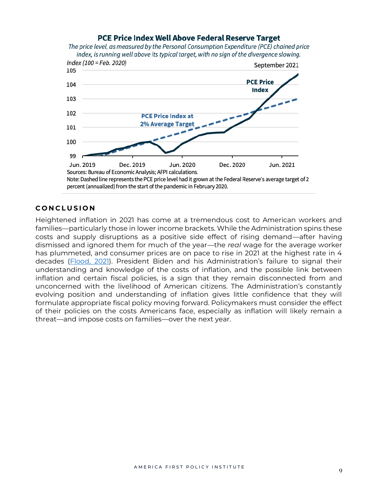## PCE Price Index Well Above Federal Reserve Target

The price level, as measured by the Personal Consumption Expenditure (PCE) chained price index, is running well above its typical target, with no sign of the divergence slowing.



#### **C O N C L U S I O N**

Heightened inflation in 2021 has come at a tremendous cost to American workers and families—particularly those in lower income brackets. While the Administration spins these costs and supply disruptions as a positive side effect of rising demand—after having dismissed and ignored them for much of the year—the *real* wage for the average worker has plummeted, and consumer prices are on pace to rise in 2021 at the highest rate in 4 decades [\(Flood, 2021](https://www.foxnews.com/media/biden-official-inflation-high-class-trump-price)). President Biden and his Administration's failure to signal their understanding and knowledge of the costs of inflation, and the possible link between inflation and certain fiscal policies, is a sign that they remain disconnected from and unconcerned with the livelihood of American citizens. The Administration's constantly evolving position and understanding of inflation gives little confidence that they will formulate appropriate fiscal policy moving forward. Policymakers must consider the effect of their policies on the costs Americans face, especially as inflation will likely remain a threat—and impose costs on families—over the next year.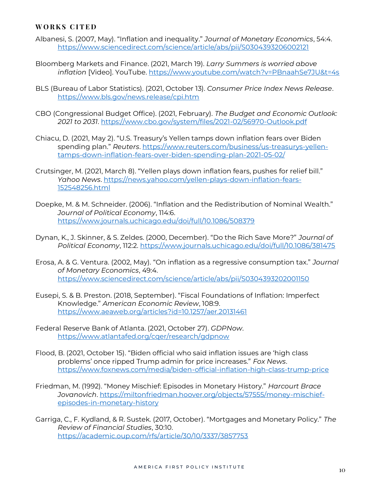#### **W O R K S C I T E D**

- Albanesi, S. (2007, May). "Inflation and inequality." *Journal of Monetary Economics*, 54:4. <https://www.sciencedirect.com/science/article/abs/pii/S0304393206002121>
- Bloomberg Markets and Finance. (2021, March 19). *Larry Summers is worried above inflation* [Video]. YouTube.<https://www.youtube.com/watch?v=PBnaahSe7JU&t=4s>
- BLS (Bureau of Labor Statistics). (2021, October 13). *Consumer Price Index News Release*. <https://www.bls.gov/news.release/cpi.htm>
- CBO (Congressional Budget Office). (2021, February). *The Budget and Economic Outlook: 2021 to 2031*.<https://www.cbo.gov/system/files/2021-02/56970-Outlook.pdf>
- Chiacu, D. (2021, May 2). "U.S. Treasury's Yellen tamps down inflation fears over Biden spending plan." *Reuters*[. https://www.reuters.com/business/us-treasurys-yellen](https://www.reuters.com/business/us-treasurys-yellen-tamps-down-inflation-fears-over-biden-spending-plan-2021-05-02/)[tamps-down-inflation-fears-over-biden-spending-plan-2021-05-02/](https://www.reuters.com/business/us-treasurys-yellen-tamps-down-inflation-fears-over-biden-spending-plan-2021-05-02/)
- Crutsinger, M. (2021, March 8). "Yellen plays down inflation fears, pushes for relief bill." *Yahoo News*. [https://news.yahoo.com/yellen-plays-down-inflation-fears-](https://news.yahoo.com/yellen-plays-down-inflation-fears-152548256.html)[152548256.html](https://news.yahoo.com/yellen-plays-down-inflation-fears-152548256.html)
- Doepke, M. & M. Schneider. (2006). "Inflation and the Redistribution of Nominal Wealth." *Journal of Political Economy*, 114:6. <https://www.journals.uchicago.edu/doi/full/10.1086/508379>
- Dynan, K., J. Skinner, & S. Zeldes. (2000, December). "Do the Rich Save More?" *Journal of Political Economy*, 112:2.<https://www.journals.uchicago.edu/doi/full/10.1086/381475>
- Erosa, A. & G. Ventura. (2002, May). "On inflation as a regressive consumption tax." *Journal of Monetary Economics*, 49:4. <https://www.sciencedirect.com/science/article/abs/pii/S0304393202001150>
- Eusepi, S. & B. Preston. (2018, September). "Fiscal Foundations of Inflation: Imperfect Knowledge." *American Economic Review*, 108:9. <https://www.aeaweb.org/articles?id=10.1257/aer.20131461>
- Federal Reserve Bank of Atlanta. (2021, October 27). *GDPNow*. <https://www.atlantafed.org/cqer/research/gdpnow>
- Flood, B. (2021, October 15). "Biden official who said inflation issues are 'high class problems' once ripped Trump admin for price increases." *Fox News*. <https://www.foxnews.com/media/biden-official-inflation-high-class-trump-price>
- Friedman, M. (1992). "Money Mischief: Episodes in Monetary History." *Harcourt Brace Jovanovich*. [https://miltonfriedman.hoover.org/objects/57555/money-mischief](https://miltonfriedman.hoover.org/objects/57555/money-mischief-episodes-in-monetary-history)[episodes-in-monetary-history](https://miltonfriedman.hoover.org/objects/57555/money-mischief-episodes-in-monetary-history)
- Garriga, C., F. Kydland, & R. Sustek. (2017, October). "Mortgages and Monetary Policy." *The Review of Financial Studies*, 30:10. <https://academic.oup.com/rfs/article/30/10/3337/3857753>